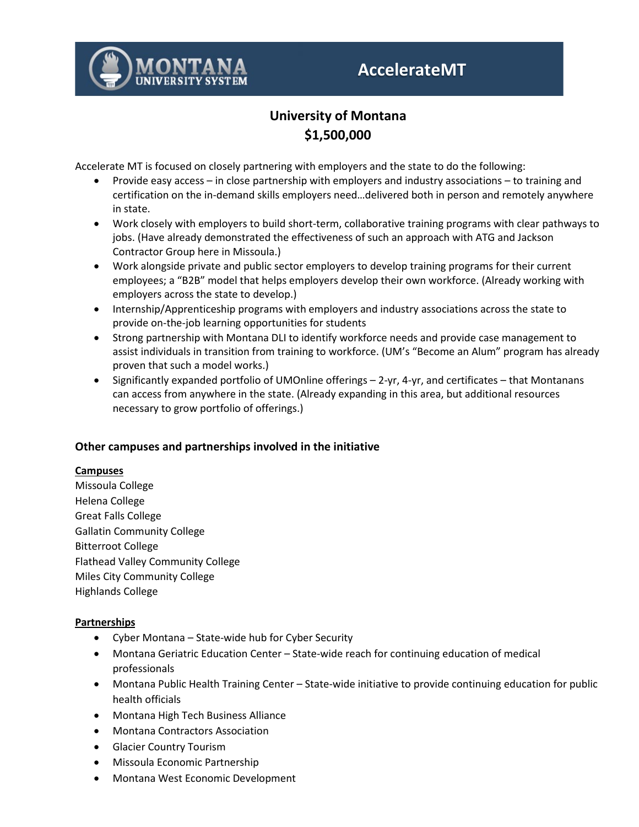

# **AccelerateMT**

# **University of Montana \$1,500,000**

Accelerate MT is focused on closely partnering with employers and the state to do the following:

- Provide easy access in close partnership with employers and industry associations to training and certification on the in-demand skills employers need…delivered both in person and remotely anywhere in state.
- Work closely with employers to build short-term, collaborative training programs with clear pathways to jobs. (Have already demonstrated the effectiveness of such an approach with ATG and Jackson Contractor Group here in Missoula.)
- Work alongside private and public sector employers to develop training programs for their current employees; a "B2B" model that helps employers develop their own workforce. (Already working with employers across the state to develop.)
- Internship/Apprenticeship programs with employers and industry associations across the state to provide on-the-job learning opportunities for students
- Strong partnership with Montana DLI to identify workforce needs and provide case management to assist individuals in transition from training to workforce. (UM's "Become an Alum" program has already proven that such a model works.)
- Significantly expanded portfolio of UMOnline offerings 2-yr, 4-yr, and certificates that Montanans can access from anywhere in the state. (Already expanding in this area, but additional resources necessary to grow portfolio of offerings.)

# **Other campuses and partnerships involved in the initiative**

### **Campuses**

Missoula College Helena College Great Falls College Gallatin Community College Bitterroot College Flathead Valley Community College Miles City Community College Highlands College

# **Partnerships**

- Cyber Montana State-wide hub for Cyber Security
- Montana Geriatric Education Center State-wide reach for continuing education of medical professionals
- Montana Public Health Training Center State-wide initiative to provide continuing education for public health officials
- Montana High Tech Business Alliance
- Montana Contractors Association
- Glacier Country Tourism
- Missoula Economic Partnership
- Montana West Economic Development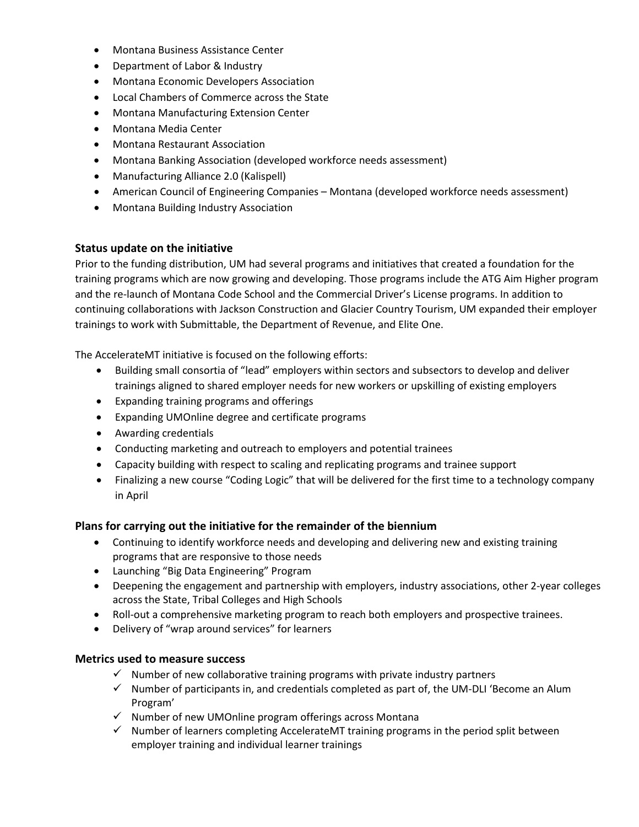- Montana Business Assistance Center
- Department of Labor & Industry
- Montana Economic Developers Association
- Local Chambers of Commerce across the State
- Montana Manufacturing Extension Center
- Montana Media Center
- Montana Restaurant Association
- Montana Banking Association (developed workforce needs assessment)
- Manufacturing Alliance 2.0 (Kalispell)
- American Council of Engineering Companies Montana (developed workforce needs assessment)
- Montana Building Industry Association

### **Status update on the initiative**

Prior to the funding distribution, UM had several programs and initiatives that created a foundation for the training programs which are now growing and developing. Those programs include the ATG Aim Higher program and the re-launch of Montana Code School and the Commercial Driver's License programs. In addition to continuing collaborations with Jackson Construction and Glacier Country Tourism, UM expanded their employer trainings to work with Submittable, the Department of Revenue, and Elite One.

The AccelerateMT initiative is focused on the following efforts:

- Building small consortia of "lead" employers within sectors and subsectors to develop and deliver trainings aligned to shared employer needs for new workers or upskilling of existing employers
- Expanding training programs and offerings
- Expanding UMOnline degree and certificate programs
- Awarding credentials
- Conducting marketing and outreach to employers and potential trainees
- Capacity building with respect to scaling and replicating programs and trainee support
- Finalizing a new course "Coding Logic" that will be delivered for the first time to a technology company in April

### **Plans for carrying out the initiative for the remainder of the biennium**

- Continuing to identify workforce needs and developing and delivering new and existing training programs that are responsive to those needs
- Launching "Big Data Engineering" Program
- Deepening the engagement and partnership with employers, industry associations, other 2-year colleges across the State, Tribal Colleges and High Schools
- Roll-out a comprehensive marketing program to reach both employers and prospective trainees.
- Delivery of "wrap around services" for learners

## **Metrics used to measure success**

- $\checkmark$  Number of new collaborative training programs with private industry partners
- $\checkmark$  Number of participants in, and credentials completed as part of, the UM-DLI 'Become an Alum Program'
- $\checkmark$  Number of new UMOnline program offerings across Montana
- $\checkmark$  Number of learners completing AccelerateMT training programs in the period split between employer training and individual learner trainings